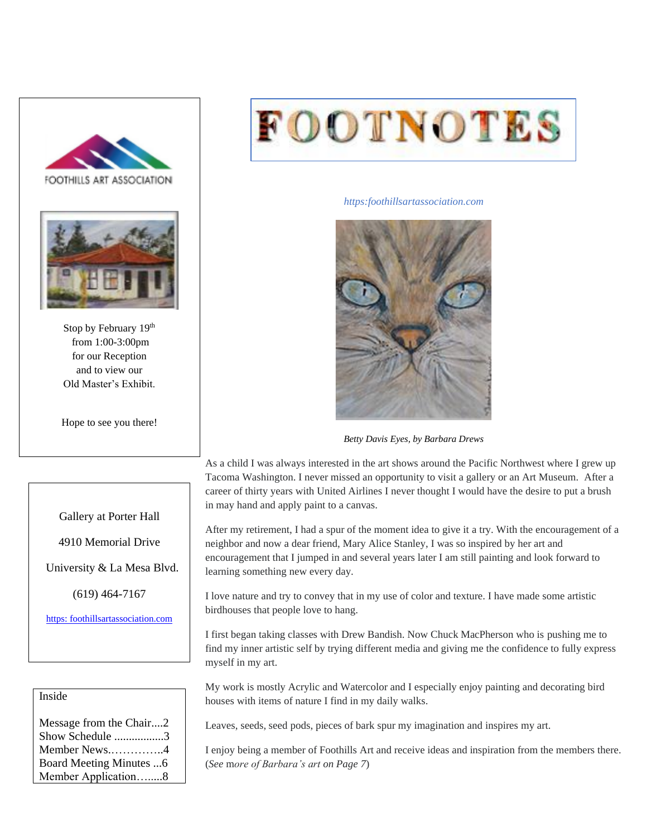



Stop by February 19th from 1:00-3:00pm for our Reception and to view our Old Master's Exhibit.

Hope to see you there!



*https:foothillsartassociation.com*



*Betty Davis Eyes, by Barbara Drews*

As a child I was always interested in the art shows around the Pacific Northwest where I grew up Tacoma Washington. I never missed an opportunity to visit a gallery or an Art Museum. After a career of thirty years with United Airlines I never thought I would have the desire to put a brush in may hand and apply paint to a canvas.

After my retirement, I had a spur of the moment idea to give it a try. With the encouragement of a neighbor and now a dear friend, Mary Alice Stanley, I was so inspired by her art and encouragement that I jumped in and several years later I am still painting and look forward to learning something new every day.

I love nature and try to convey that in my use of color and texture. I have made some artistic birdhouses that people love to hang.

I first began taking classes with Drew Bandish. Now Chuck MacPherson who is pushing me to find my inner artistic self by trying different media and giving me the confidence to fully express myself in my art.

My work is mostly Acrylic and Watercolor and I especially enjoy painting and decorating bird houses with items of nature I find in my daily walks.

Leaves, seeds, seed pods, pieces of bark spur my imagination and inspires my art.

I enjoy being a member of Foothills Art and receive ideas and inspiration from the members there. (*See* m*ore of Barbara's art on Page 7*)

#### Gallery at Porter Hall

4910 Memorial Drive

University & La Mesa Blvd.

(619) 464-7167

[https: foothillsartassociation.com](https://foothillsartassociation.com/)

### Inside

| Message from the Chair2 |  |
|-------------------------|--|
| Show Schedule 3         |  |
| Member News4            |  |
| Board Meeting Minutes 6 |  |
| Member Application8     |  |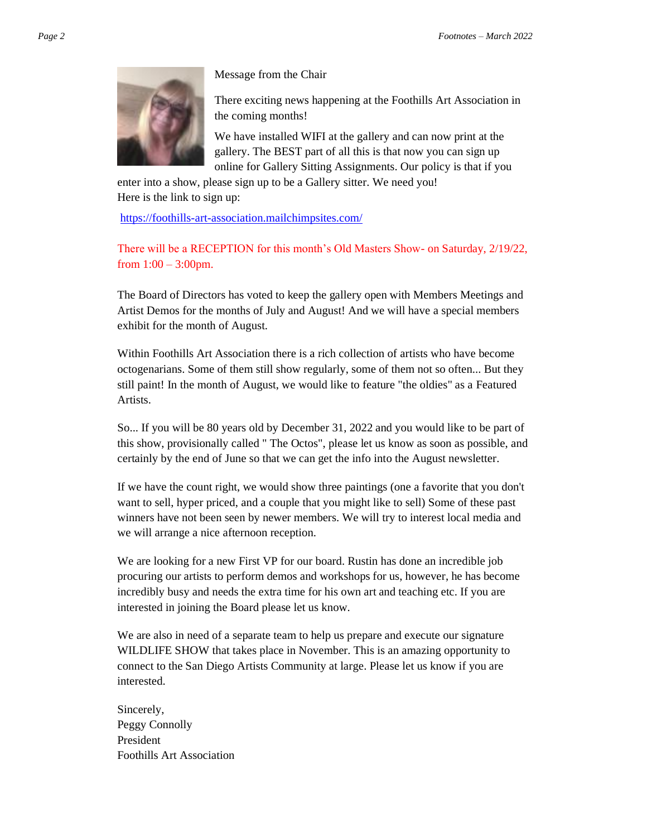

Message from the Chair

There exciting news happening at the Foothills Art Association in the coming months!

We have installed WIFI at the gallery and can now print at the gallery. The BEST part of all this is that now you can sign up online for Gallery Sitting Assignments. Our policy is that if you

enter into a show, please sign up to be a Gallery sitter. We need you! Here is the link to sign up:

<https://foothills-art-association.mailchimpsites.com/>

There will be a RECEPTION for this month's Old Masters Show- on Saturday, 2/19/22, from  $1:00 - 3:00$ pm.

The Board of Directors has voted to keep the gallery open with Members Meetings and Artist Demos for the months of July and August! And we will have a special members exhibit for the month of August.

Within Foothills Art Association there is a rich collection of artists who have become octogenarians. Some of them still show regularly, some of them not so often... But they still paint! In the month of August, we would like to feature "the oldies" as a Featured Artists.

So... If you will be 80 years old by December 31, 2022 and you would like to be part of this show, provisionally called " The Octos", please let us know as soon as possible, and certainly by the end of June so that we can get the info into the August newsletter.

If we have the count right, we would show three paintings (one a favorite that you don't want to sell, hyper priced, and a couple that you might like to sell) Some of these past winners have not been seen by newer members. We will try to interest local media and we will arrange a nice afternoon reception.

We are looking for a new First VP for our board. Rustin has done an incredible job procuring our artists to perform demos and workshops for us, however, he has become incredibly busy and needs the extra time for his own art and teaching etc. If you are interested in joining the Board please let us know.

We are also in need of a separate team to help us prepare and execute our signature WILDLIFE SHOW that takes place in November. This is an amazing opportunity to connect to the San Diego Artists Community at large. Please let us know if you are interested.

Sincerely, Peggy Connolly President Foothills Art Association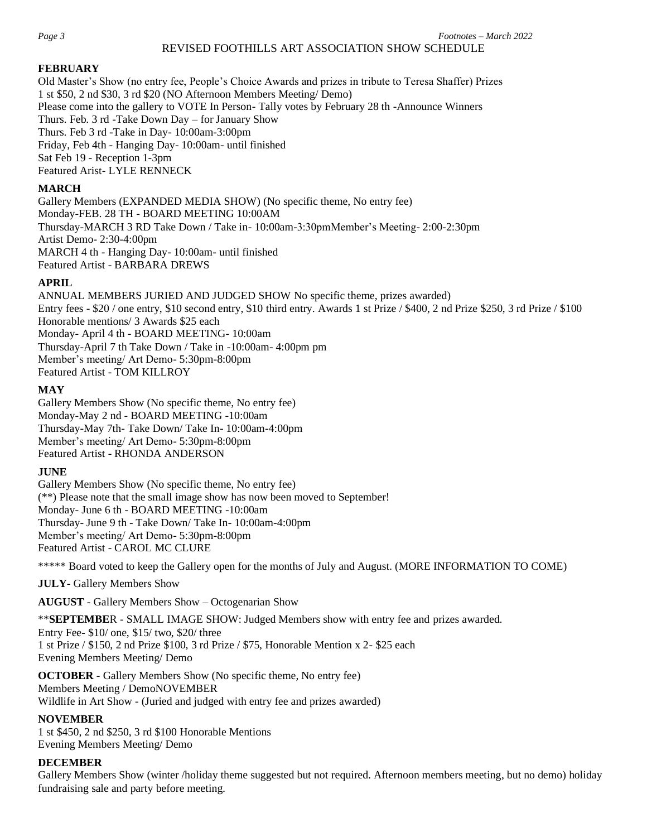#### REVISED FOOTHILLS ART ASSOCIATION SHOW SCHEDULE

#### **FEBRUARY**

Old Master's Show (no entry fee, People's Choice Awards and prizes in tribute to Teresa Shaffer) Prizes 1 st \$50, 2 nd \$30, 3 rd \$20 (NO Afternoon Members Meeting/ Demo) Please come into the gallery to VOTE In Person- Tally votes by February 28 th -Announce Winners Thurs. Feb. 3 rd -Take Down Day – for January Show Thurs. Feb 3 rd -Take in Day- 10:00am-3:00pm Friday, Feb 4th - Hanging Day- 10:00am- until finished Sat Feb 19 - Reception 1-3pm Featured Arist- LYLE RENNECK

#### **MARCH**

Gallery Members (EXPANDED MEDIA SHOW) (No specific theme, No entry fee) Monday-FEB. 28 TH - BOARD MEETING 10:00AM Thursday-MARCH 3 RD Take Down / Take in- 10:00am-3:30pmMember's Meeting- 2:00-2:30pm Artist Demo- 2:30-4:00pm MARCH 4 th - Hanging Day- 10:00am- until finished Featured Artist - BARBARA DREWS

#### **APRIL**

ANNUAL MEMBERS JURIED AND JUDGED SHOW No specific theme, prizes awarded) Entry fees - \$20 / one entry, \$10 second entry, \$10 third entry. Awards 1 st Prize / \$400, 2 nd Prize \$250, 3 rd Prize / \$100 Honorable mentions/ 3 Awards \$25 each Monday- April 4 th - BOARD MEETING- 10:00am Thursday-April 7 th Take Down / Take in -10:00am- 4:00pm pm Member's meeting/ Art Demo- 5:30pm-8:00pm Featured Artist - TOM KILLROY

#### **MAY**

Gallery Members Show (No specific theme, No entry fee) Monday-May 2 nd - BOARD MEETING -10:00am Thursday-May 7th- Take Down/ Take In- 10:00am-4:00pm Member's meeting/ Art Demo- 5:30pm-8:00pm Featured Artist - RHONDA ANDERSON

### **JUNE**

Gallery Members Show (No specific theme, No entry fee) (\*\*) Please note that the small image show has now been moved to September! Monday- June 6 th - BOARD MEETING -10:00am Thursday- June 9 th - Take Down/ Take In- 10:00am-4:00pm Member's meeting/ Art Demo- 5:30pm-8:00pm Featured Artist - CAROL MC CLURE

\*\*\*\*\* Board voted to keep the Gallery open for the months of July and August. (MORE INFORMATION TO COME)

**JULY**- Gallery Members Show

**AUGUST** - Gallery Members Show – Octogenarian Show

\*\***SEPTEMBE**R - SMALL IMAGE SHOW: Judged Members show with entry fee and prizes awarded.

Entry Fee- \$10/ one, \$15/ two, \$20/ three 1 st Prize / \$150, 2 nd Prize \$100, 3 rd Prize / \$75, Honorable Mention x 2- \$25 each Evening Members Meeting/ Demo

**OCTOBER** - Gallery Members Show (No specific theme, No entry fee) Members Meeting / DemoNOVEMBER Wildlife in Art Show - (Juried and judged with entry fee and prizes awarded)

#### **NOVEMBER**

1 st \$450, 2 nd \$250, 3 rd \$100 Honorable Mentions Evening Members Meeting/ Demo

#### **DECEMBER**

Gallery Members Show (winter /holiday theme suggested but not required. Afternoon members meeting, but no demo) holiday fundraising sale and party before meeting.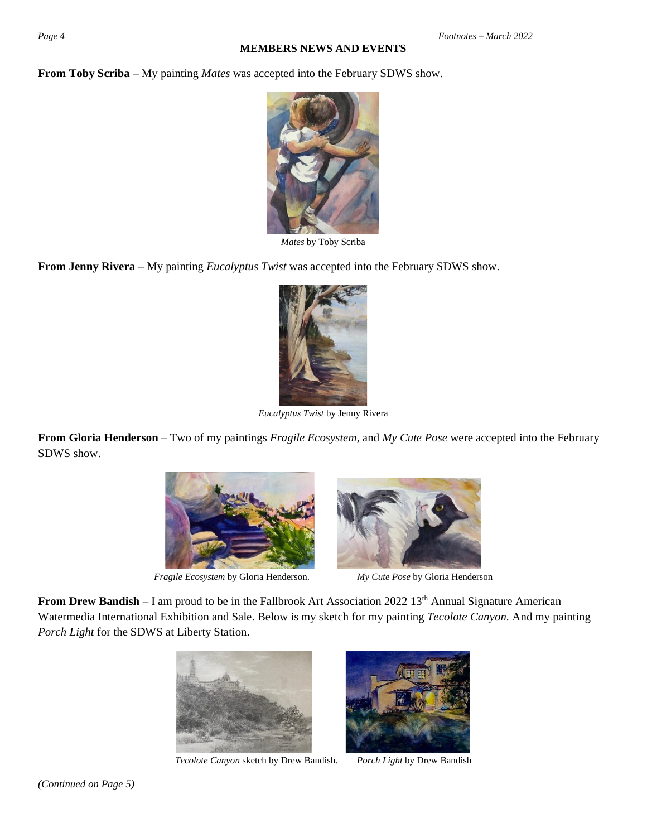#### **MEMBERS NEWS AND EVENTS**

**From Toby Scriba** – My painting *Mates* was accepted into the February SDWS show.



*Mates* by Toby Scriba

**From Jenny Rivera** – My painting *Eucalyptus Twist* was accepted into the February SDWS show.



*Eucalyptus Twist* by Jenny Rivera

**From Gloria Henderson** – Two of my paintings *Fragile Ecosystem*, and *My Cute Pose* were accepted into the February SDWS show.



*Fragile Ecosystem* by Gloria Henderson. *My Cute Pose* by Gloria Henderson



**From Drew Bandish** – I am proud to be in the Fallbrook Art Association 2022 13<sup>th</sup> Annual Signature American Watermedia International Exhibition and Sale. Below is my sketch for my painting *Tecolote Canyon.* And my painting *Porch Light* for the SDWS at Liberty Station.



*Tecolote Canyon* sketch by Drew Bandish. *Porch Light* by Drew Bandish

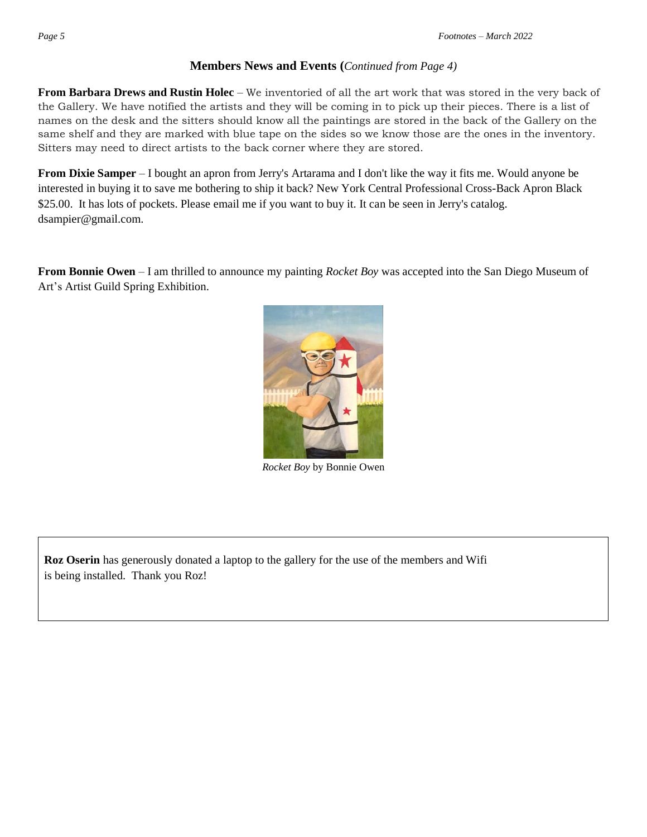## **Members News and Events (***Continued from Page 4)*

**From Barbara Drews and Rustin Holec** – We inventoried of all the art work that was stored in the very back of the Gallery. We have notified the artists and they will be coming in to pick up their pieces. There is a list of names on the desk and the sitters should know all the paintings are stored in the back of the Gallery on the same shelf and they are marked with blue tape on the sides so we know those are the ones in the inventory. Sitters may need to direct artists to the back corner where they are stored.

**From Dixie Samper** – I bought an apron from Jerry's Artarama and I don't like the way it fits me. Would anyone be interested in buying it to save me bothering to ship it back? New York Central Professional Cross-Back Apron Black \$25.00. It has lots of pockets. Please email me if you want to buy it. It can be seen in Jerry's catalog. [dsampier@gmail.com.](mailto:dsampier@gmail.com)

**From Bonnie Owen** – I am thrilled to announce my painting *Rocket Boy* was accepted into the San Diego Museum of Art's Artist Guild Spring Exhibition.



*Rocket Boy* by Bonnie Owen

**Roz Oserin** has generously donated a laptop to the gallery for the use of the members and Wifi is being installed. Thank you Roz!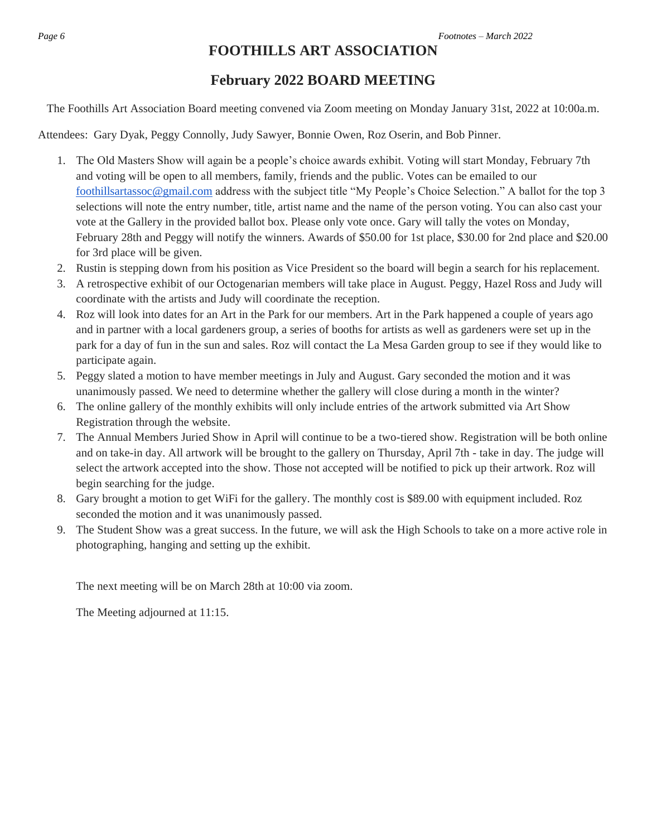## **FOOTHILLS ART ASSOCIATION**

## **February 2022 BOARD MEETING**

The Foothills Art Association Board meeting convened via Zoom meeting on Monday January 31st, 2022 at 10:00a.m.

Attendees: Gary Dyak, Peggy Connolly, Judy Sawyer, Bonnie Owen, Roz Oserin, and Bob Pinner.

- 1. The Old Masters Show will again be a people's choice awards exhibit. Voting will start Monday, February 7th and voting will be open to all members, family, friends and the public. Votes can be emailed to our [foothillsartassoc@gmail.com](mailto:foothillsartassoc@gmail.com) address with the subject title "My People's Choice Selection." A ballot for the top 3 selections will note the entry number, title, artist name and the name of the person voting. You can also cast your vote at the Gallery in the provided ballot box. Please only vote once. Gary will tally the votes on Monday, February 28th and Peggy will notify the winners. Awards of \$50.00 for 1st place, \$30.00 for 2nd place and \$20.00 for 3rd place will be given.
- 2. Rustin is stepping down from his position as Vice President so the board will begin a search for his replacement.
- 3. A retrospective exhibit of our Octogenarian members will take place in August. Peggy, Hazel Ross and Judy will coordinate with the artists and Judy will coordinate the reception.
- 4. Roz will look into dates for an Art in the Park for our members. Art in the Park happened a couple of years ago and in partner with a local gardeners group, a series of booths for artists as well as gardeners were set up in the park for a day of fun in the sun and sales. Roz will contact the La Mesa Garden group to see if they would like to participate again.
- 5. Peggy slated a motion to have member meetings in July and August. Gary seconded the motion and it was unanimously passed. We need to determine whether the gallery will close during a month in the winter?
- 6. The online gallery of the monthly exhibits will only include entries of the artwork submitted via Art Show Registration through the website.
- 7. The Annual Members Juried Show in April will continue to be a two-tiered show. Registration will be both online and on take-in day. All artwork will be brought to the gallery on Thursday, April 7th - take in day. The judge will select the artwork accepted into the show. Those not accepted will be notified to pick up their artwork. Roz will begin searching for the judge.
- 8. Gary brought a motion to get WiFi for the gallery. The monthly cost is \$89.00 with equipment included. Roz seconded the motion and it was unanimously passed.
- 9. The Student Show was a great success. In the future, we will ask the High Schools to take on a more active role in photographing, hanging and setting up the exhibit.

The next meeting will be on March 28th at 10:00 via zoom.

The Meeting adjourned at 11:15.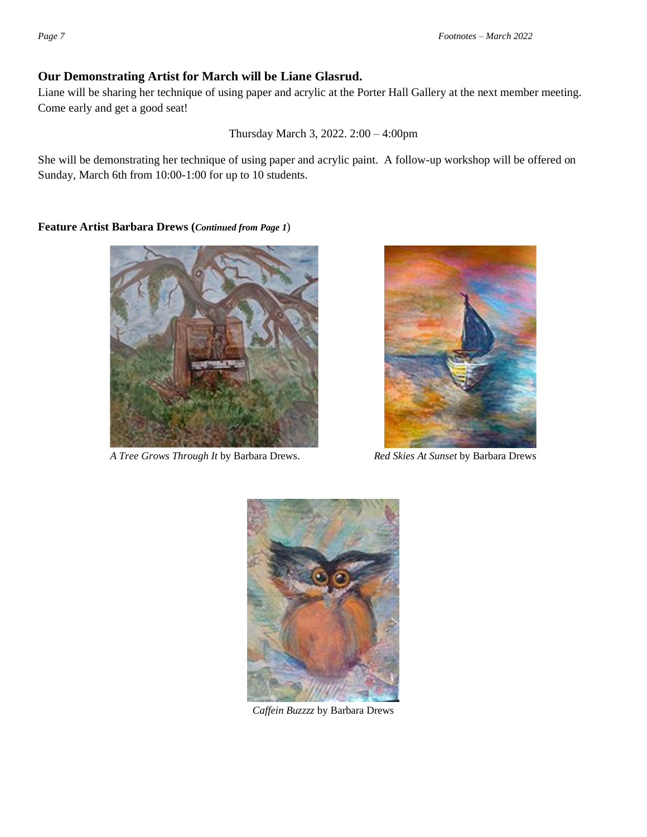## **Our Demonstrating Artist for March will be Liane Glasrud.**

Liane will be sharing her technique of using paper and acrylic at the Porter Hall Gallery at the next member meeting. Come early and get a good seat!

Thursday March 3, 2022. 2:00 – 4:00pm

She will be demonstrating her technique of using paper and acrylic paint. A follow-up workshop will be offered on Sunday, March 6th from 10:00-1:00 for up to 10 students.

**Feature Artist Barbara Drews (***Continued from Page 1*)



*A Tree Grows Through It* by Barbara Drews. *Red Skies At Sunset* by Barbara Drews





*Caffein Buzzzz* by Barbara Drews